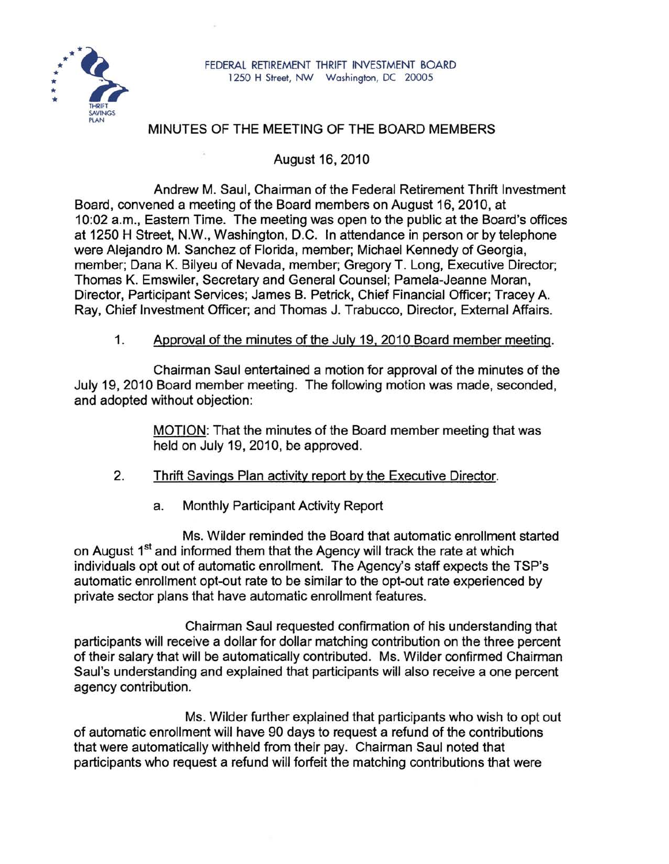

## MINUTES OF THE MEETING OF THE BOARD MEMBERS

August 16, 2010

Andrew M. Saul, Chairman of the Federal Retirement Thrift Investment Board, convened a meeting of the Board members on August 16, 2010, at 10:02 a.m., Eastern Time. The meeting was open to the public at the Board's offices at 1250 H Street, N.W., Washington, D.C. In attendance in person or by telephone were Alejandro M. Sanchez of Florida, member; Michael Kennedy of Georgia, member; Dana K. Bilyeu of Nevada, member; Gregory T. Long, Executive Director; Thomas K. Emswiler, Secretary and General Counsel; Pamela-Jeanne Moran, Director, Participant Services; James B. Petrick, Chief Financial Officer; Tracey A. Ray, Chief Investment Officer; and Thomas J. Trabucco, Director, External Affairs.

1. Approval of the minutes of the July 19, 2010 Board member meeting.

Chairman Saul entertained a motion for approval of the minutes of the July 19, 2010 Board member meeting. The following motion was made, seconded, and adopted without objection:

> MOTION: That the minutes of the Board member meeting that was held on July 19, 2010, be approved.

- 2. Thrift Savings Plan activity report by the Executive Director.
	- a. Monthly Participant Activity Report

Ms. Wilder reminded the Board that automatic enrollment started on August 1<sup>st</sup> and informed them that the Agency will track the rate at which individuals opt out of automatic enrollment. The Agency's staff expects the TSP's automatic enrollment opt-out rate to be similar to the opt-out rate experienced by private sector plans that have automatic enrollment features.

Chairman Saul requested confirmation of his understanding that participants will receive a dollar for dollar matching contribution on the three percent of their salary that will be automatically contributed. Ms. Wilder confirmed Chairman Saul's understanding and explained that participants will also receive a one percent agency contribution.

Ms. Wilder further explained that participants who wish to opt out of automatic enrollment will have 90 days to request a refund of the contributions that were automatically withheld from their pay. Chairman Saul noted that participants who request a refund will forfeit the matching contributions that were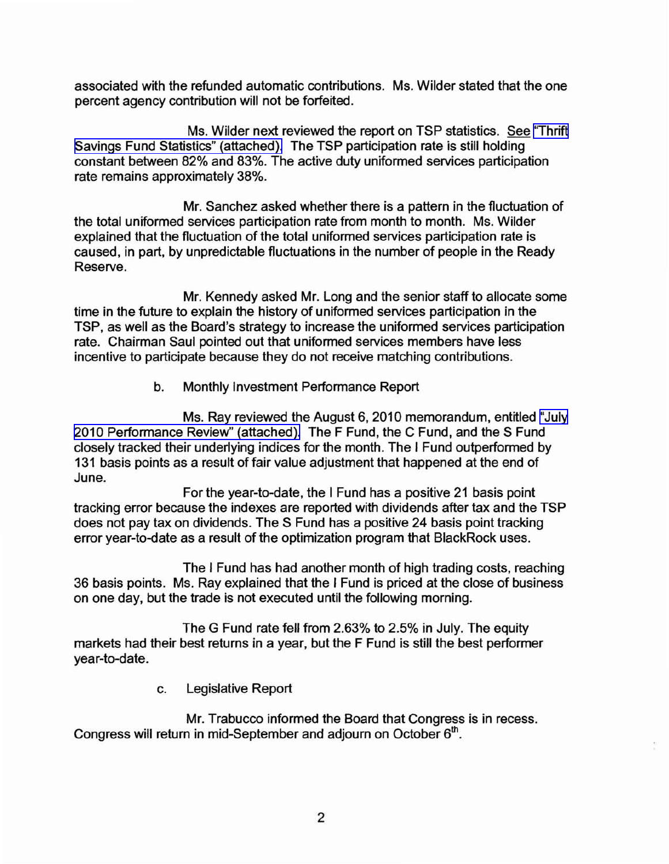associated with the refunded automatic contributions. Ms. Wilder stated that the one percent agency contribution will not be forfeited.

Ms. Wilder next reviewed the report on TSP statistics. See ['Thrift](http://www.frtib.gov/pdf/minutes/MM-2010Aug-Att1.pdf) Savings Fund Statistics" [\(attached\).](http://www.frtib.gov/pdf/minutes/MM-2010Aug-Att1.pdf) The TSP participation rate is still holding constant between 82% and 83%. The active duty uniformed services participation rate remains approximately 38%.

Mr. Sanchez asked whether there is a pattern in the fluctuation of the total uniformed services participation rate from month to month. Ms. Wilder explained that the fluctuation of the total uniformed services participation rate is caused, in part, by unpredictable fluctuations in the number of people in the Ready Reserve.

Mr. Kennedy asked Mr. Long and the senior staff to allocate some time in the future to explain the history of uniformed services participation in the TSP, as well as the Board's strategy to increase the uniformed services participation rate. Chairman Saul pointed out that uniformed services members have less incentive to participate because they do not receive matching contributions.

b. Monthly Investment Performance Report

Ms. Ray reviewed the August 6, 2010 memorandum, entitled ["July](http://www.frtib.gov/pdf/minutes/MM-2010Aug-Att2.pdf) 2010 [Performance](http://www.frtib.gov/pdf/minutes/MM-2010Aug-Att2.pdf) Review" (attached). The F Fund, the C Fund, and the S Fund closely tracked their underlying indices for the month. The I Fund outperformed by 131 basis points as a result of fair value adjustment that happened at the end of June.

For the year-to-date, the I Fund has a positive 21 basis point tracking error because the indexes are reported with dividends after tax and the TSP does not pay tax on dividends. The S Fund has a positive 24 basis point tracking error year-to-date as a result of the optimization program that BlackRock uses.

The I Fund has had another month of high trading costs, reaching 36 basis points. Ms. Ray explained that the I Fund is priced at the close of business on one day, but the trade is not executed until the following morning.

The G Fund rate fell from 2.63% to 2.5% in July. The equity markets had their best returns in a year, but the F Fund is still the best performer year-to-date.

c. Legislative Report

Mr. Trabucco informed the Board that Congress is in recess. Congress will return in mid-September and adjourn on October  $6<sup>th</sup>$ .